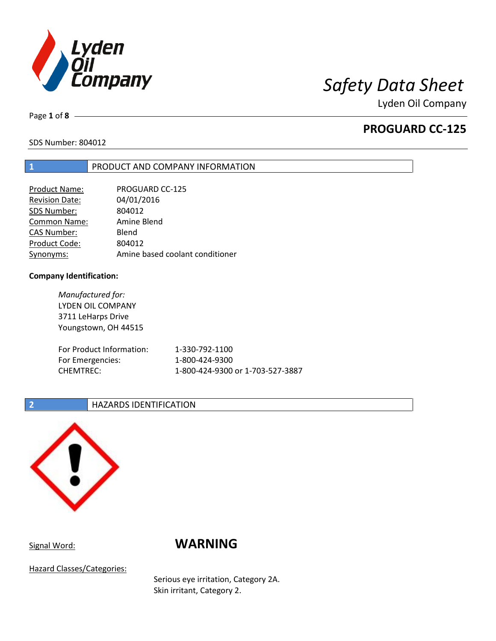

Page **1** of **8**

## **PROGUARD CC-125**

SDS Number: 804012

## **1** PRODUCT AND COMPANY INFORMATION

| <b>Product Name:</b> | <b>PROGUARD CC-125</b>          |
|----------------------|---------------------------------|
| Revision Date:       | 04/01/2016                      |
| SDS Number:          | 804012                          |
| <b>Common Name:</b>  | Amine Blend                     |
| CAS Number:          | Blend                           |
| Product Code:        | 804012                          |
| Synonyms:            | Amine based coolant conditioner |

## **Company Identification:**

*Manufactured for:* LYDEN OIL COMPANY 3711 LeHarps Drive Youngstown, OH 44515 For Product Information: 1-330-792-1100 For Emergencies: 1-800-424-9300 CHEMTREC: 1-800-424-9300 or 1-703-527-3887

## **2 HAZARDS IDENTIFICATION**



## Signal Word: **WARNING**

Hazard Classes/Categories:

Serious eye irritation, Category 2A. Skin irritant, Category 2.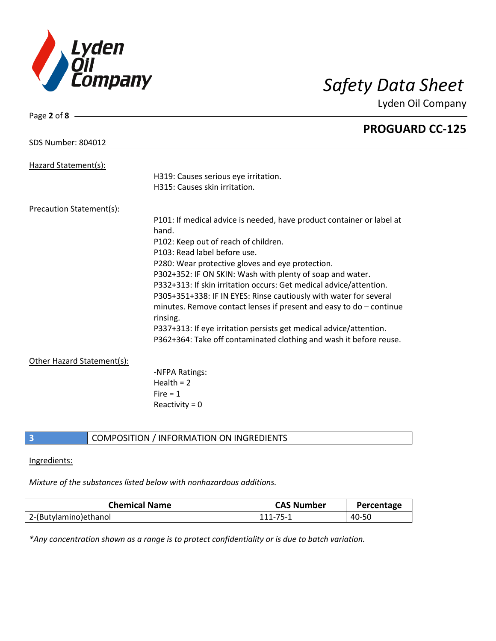

Page **2** of **8**

Lyden Oil Company

|                                 | <b>PROGUARD CC-125</b>                                                            |
|---------------------------------|-----------------------------------------------------------------------------------|
| <b>SDS Number: 804012</b>       |                                                                                   |
| Hazard Statement(s):            |                                                                                   |
|                                 | H319: Causes serious eye irritation.                                              |
|                                 | H315: Causes skin irritation.                                                     |
| <b>Precaution Statement(s):</b> |                                                                                   |
|                                 | P101: If medical advice is needed, have product container or label at<br>hand.    |
|                                 | P102: Keep out of reach of children.                                              |
|                                 | P103: Read label before use.                                                      |
|                                 | P280: Wear protective gloves and eye protection.                                  |
|                                 | P302+352: IF ON SKIN: Wash with plenty of soap and water.                         |
|                                 | P332+313: If skin irritation occurs: Get medical advice/attention.                |
|                                 | P305+351+338: IF IN EYES: Rinse cautiously with water for several                 |
|                                 | minutes. Remove contact lenses if present and easy to $do$ – continue<br>rinsing. |
|                                 | P337+313: If eye irritation persists get medical advice/attention.                |
|                                 | P362+364: Take off contaminated clothing and wash it before reuse.                |
| Other Hazard Statement(s):      |                                                                                   |
|                                 | -NFPA Ratings:                                                                    |
|                                 | Health = $2$                                                                      |
|                                 | Fire $= 1$                                                                        |
|                                 | Reactivity = $0$                                                                  |
|                                 |                                                                                   |

## **3** COMPOSITION / INFORMATION ON INGREDIENTS

## Ingredients:

## *Mixture of the substances listed below with nonhazardous additions.*

| <b>Chemical Name</b>   | <b>CAS Number</b> | Percentage |
|------------------------|-------------------|------------|
| 2-(Butylamino) ethanol | 111-75-1          | 40-50      |

*\*Any concentration shown as a range is to protect confidentiality or is due to batch variation.*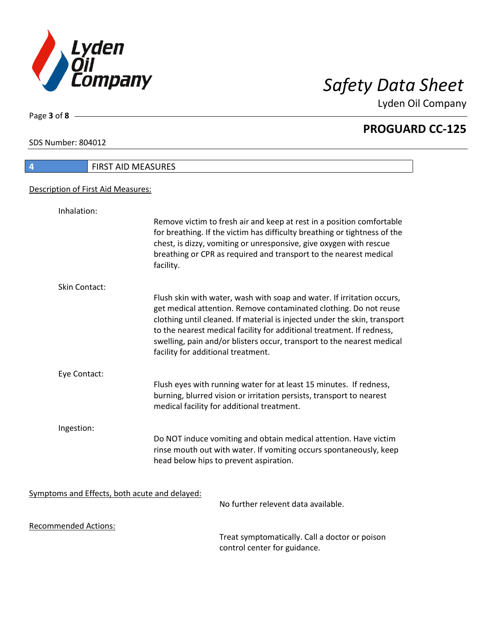

**PROGUARD CC-125**

SDS Number: 804012

Page **3** of **8**

# **4** FIRST AID MEASURES Description of First Aid Measures: Inhalation: Remove victim to fresh air and keep at rest in a position comfortable for breathing. If the victim has difficulty breathing or tightness of the chest, is dizzy, vomiting or unresponsive, give oxygen with rescue breathing or CPR as required and transport to the nearest medical facility. Skin Contact: Flush skin with water, wash with soap and water. If irritation occurs, get medical attention. Remove contaminated clothing. Do not reuse clothing until cleaned. If material is injected under the skin, transport to the nearest medical facility for additional treatment. If redness, swelling, pain and/or blisters occur, transport to the nearest medical facility for additional treatment. Eye Contact: Flush eyes with running water for at least 15 minutes. If redness, burning, blurred vision or irritation persists, transport to nearest medical facility for additional treatment. Ingestion: Do NOT induce vomiting and obtain medical attention. Have victim rinse mouth out with water. If vomiting occurs spontaneously, keep head below hips to prevent aspiration. Symptoms and Effects, both acute and delayed: No further relevent data available. Recommended Actions:

Treat symptomatically. Call a doctor or poison control center for guidance.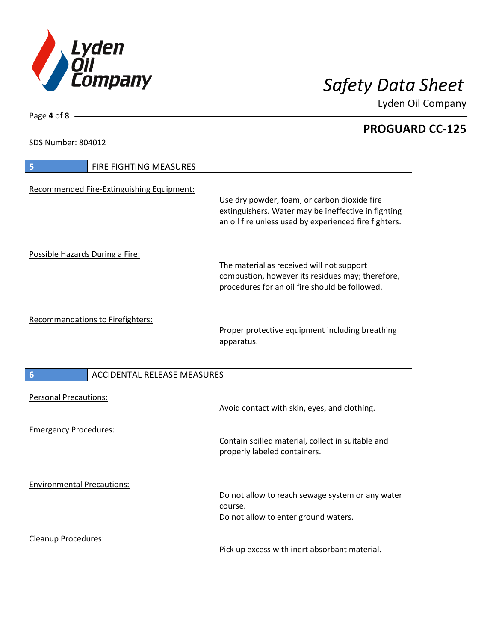

**PROGUARD CC-125**

SDS Number: 804012

Page **4** of **8**

| FIRE FIGHTING MEASURES<br>5                           |                                                                                                                                                              |
|-------------------------------------------------------|--------------------------------------------------------------------------------------------------------------------------------------------------------------|
| Recommended Fire-Extinguishing Equipment:             | Use dry powder, foam, or carbon dioxide fire<br>extinguishers. Water may be ineffective in fighting<br>an oil fire unless used by experienced fire fighters. |
| Possible Hazards During a Fire:                       | The material as received will not support<br>combustion, however its residues may; therefore,<br>procedures for an oil fire should be followed.              |
| Recommendations to Firefighters:                      | Proper protective equipment including breathing<br>apparatus.                                                                                                |
| <b>ACCIDENTAL RELEASE MEASURES</b><br>$6\phantom{1}6$ |                                                                                                                                                              |
| <b>Personal Precautions:</b>                          | Avoid contact with skin, eyes, and clothing.                                                                                                                 |
| <b>Emergency Procedures:</b>                          | Contain spilled material, collect in suitable and<br>properly labeled containers.                                                                            |
| <b>Environmental Precautions:</b>                     | Do not allow to reach sewage system or any water<br>course.<br>Do not allow to enter ground waters.                                                          |
| <b>Cleanup Procedures:</b>                            |                                                                                                                                                              |

Pick up excess with inert absorbant material.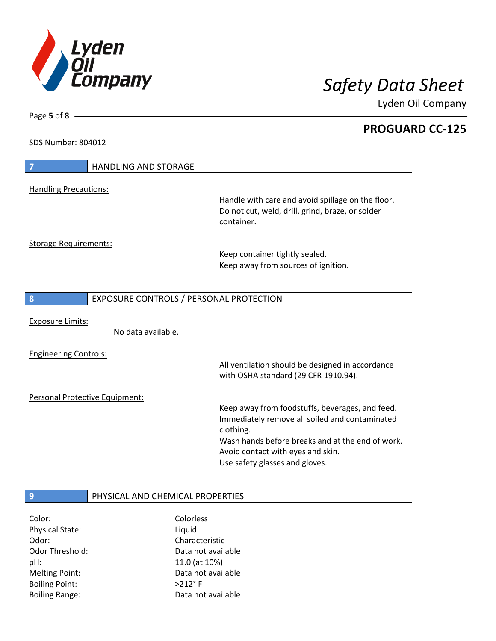

**PROGUARD CC-125**

SDS Number: 804012

Page **5** of **8**

| $\overline{7}$<br><b>HANDLING AND STORAGE</b> |                                                                                                                                                                                                                                           |
|-----------------------------------------------|-------------------------------------------------------------------------------------------------------------------------------------------------------------------------------------------------------------------------------------------|
|                                               |                                                                                                                                                                                                                                           |
| <b>Handling Precautions:</b>                  | Handle with care and avoid spillage on the floor.<br>Do not cut, weld, drill, grind, braze, or solder<br>container.                                                                                                                       |
| <b>Storage Requirements:</b>                  |                                                                                                                                                                                                                                           |
|                                               | Keep container tightly sealed.<br>Keep away from sources of ignition.                                                                                                                                                                     |
| 8<br>EXPOSURE CONTROLS / PERSONAL PROTECTION  |                                                                                                                                                                                                                                           |
| <b>Exposure Limits:</b><br>No data available. |                                                                                                                                                                                                                                           |
| <b>Engineering Controls:</b>                  | All ventilation should be designed in accordance<br>with OSHA standard (29 CFR 1910.94).                                                                                                                                                  |
| Personal Protective Equipment:                |                                                                                                                                                                                                                                           |
|                                               | Keep away from foodstuffs, beverages, and feed.<br>Immediately remove all soiled and contaminated<br>clothing.<br>Wash hands before breaks and at the end of work.<br>Avoid contact with eyes and skin.<br>Use safety glasses and gloves. |
|                                               |                                                                                                                                                                                                                                           |
| PHYSICAL AND CHEMICAL PROPERTIES<br>9         |                                                                                                                                                                                                                                           |

| Color:                 | Colorless          |
|------------------------|--------------------|
| <b>Physical State:</b> | Liquid             |
| Odor:                  | Characteristic     |
| <b>Odor Threshold:</b> | Data not available |
| pH:                    | 11.0 (at 10%)      |
| <b>Melting Point:</b>  | Data not available |
| <b>Boiling Point:</b>  | $>212$ °F          |
| <b>Boiling Range:</b>  | Data not available |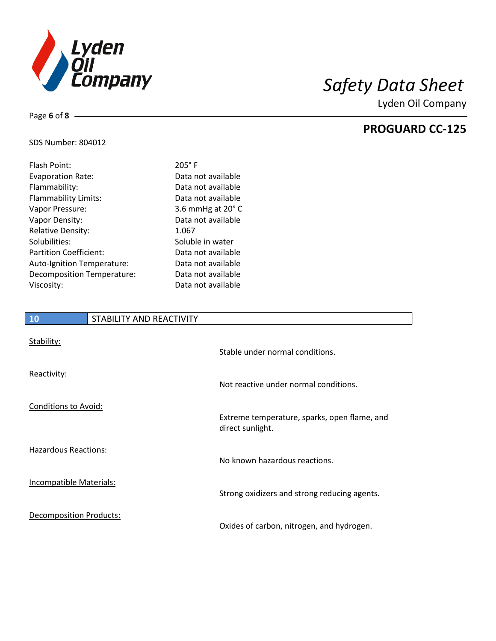

**PROGUARD CC-125**

## SDS Number: 804012

Page **6** of **8**

| Flash Point:                  | $205^\circ$ F              |
|-------------------------------|----------------------------|
| <b>Evaporation Rate:</b>      | Data not available         |
| Flammability:                 | Data not available         |
| Flammability Limits:          | Data not available         |
| Vapor Pressure:               | 3.6 mmHg at $20^{\circ}$ C |
| Vapor Density:                | Data not available         |
| <b>Relative Density:</b>      | 1.067                      |
| Solubilities:                 | Soluble in water           |
| <b>Partition Coefficient:</b> | Data not available         |
| Auto-Ignition Temperature:    | Data not available         |
| Decomposition Temperature:    | Data not available         |
| Viscosity:                    | Data not available         |
|                               |                            |

# **10** STABILITY AND REACTIVITY Stability: Stable under normal conditions. Reactivity: Not reactive under normal conditions. Conditions to Avoid: Extreme temperature, sparks, open flame, and direct sunlight.

Hazardous Reactions:

Incompatible Materials:

Decomposition Products:

No known hazardous reactions.

Strong oxidizers and strong reducing agents.

Oxides of carbon, nitrogen, and hydrogen.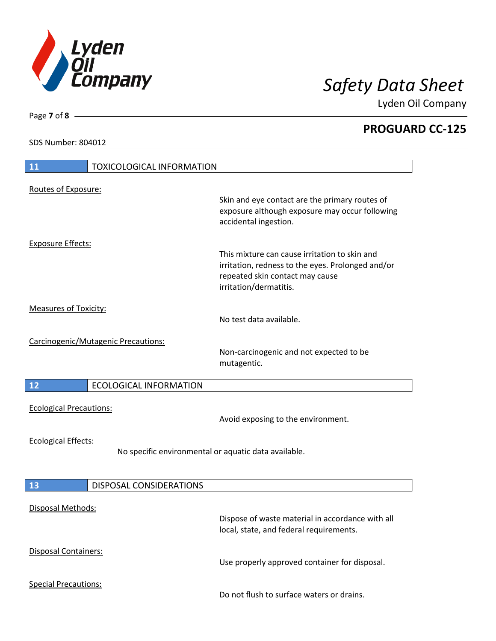

**PROGUARD CC-125**

SDS Number: 804012

Page **7** of **8**

| 11                             | <b>TOXICOLOGICAL INFORMATION</b>    |                                                                                                                                                                 |  |
|--------------------------------|-------------------------------------|-----------------------------------------------------------------------------------------------------------------------------------------------------------------|--|
|                                |                                     |                                                                                                                                                                 |  |
| Routes of Exposure:            |                                     | Skin and eye contact are the primary routes of<br>exposure although exposure may occur following<br>accidental ingestion.                                       |  |
| <b>Exposure Effects:</b>       |                                     |                                                                                                                                                                 |  |
|                                |                                     | This mixture can cause irritation to skin and<br>irritation, redness to the eyes. Prolonged and/or<br>repeated skin contact may cause<br>irritation/dermatitis. |  |
| <b>Measures of Toxicity:</b>   |                                     |                                                                                                                                                                 |  |
|                                |                                     | No test data available.                                                                                                                                         |  |
|                                | Carcinogenic/Mutagenic Precautions: | Non-carcinogenic and not expected to be<br>mutagentic.                                                                                                          |  |
| 12                             | <b>ECOLOGICAL INFORMATION</b>       |                                                                                                                                                                 |  |
| <b>Ecological Precautions:</b> |                                     | Avoid exposing to the environment.                                                                                                                              |  |
| <b>Ecological Effects:</b>     |                                     | No specific environmental or aquatic data available.                                                                                                            |  |
| 13                             | <b>DISPOSAL CONSIDERATIONS</b>      |                                                                                                                                                                 |  |
| Disposal Methods:              |                                     | Dispose of waste material in accordance with all<br>local, state, and federal requirements.                                                                     |  |
| Disposal Containers:           |                                     | Use properly approved container for disposal.                                                                                                                   |  |
| <b>Special Precautions:</b>    |                                     | Do not flush to surface waters or drains.                                                                                                                       |  |